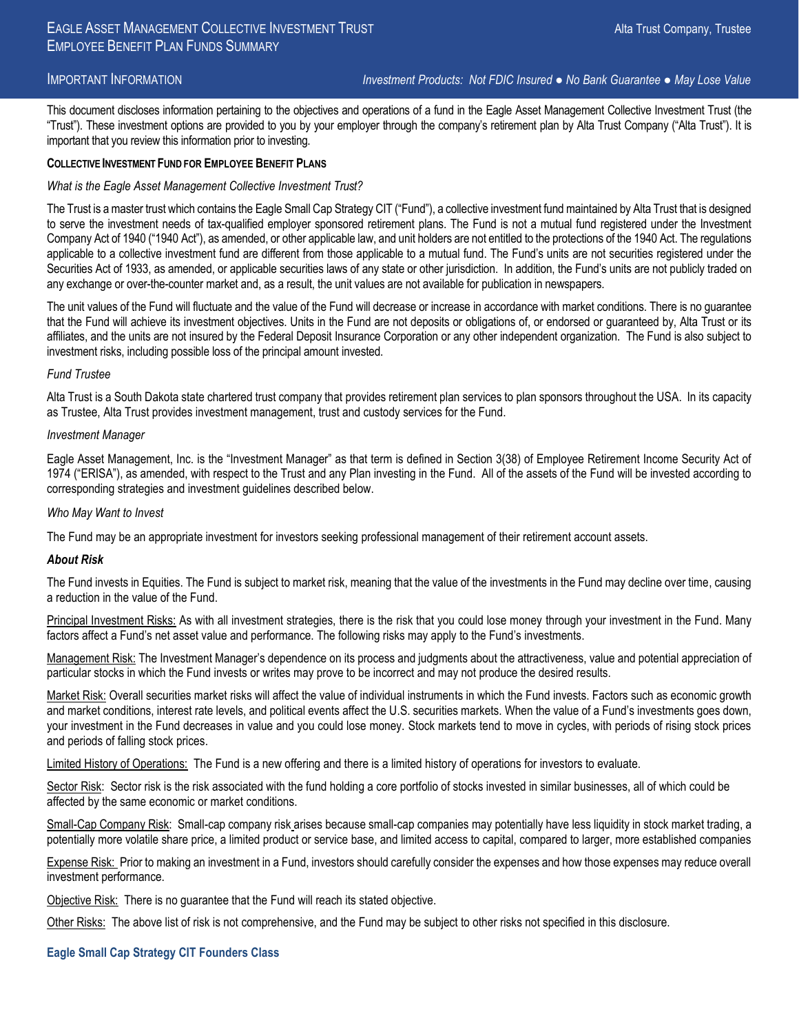IMPORTANT INFORMATION *Investment Products: Not FDIC Insured ● No Bank Guarantee ● May Lose Value*

This document discloses information pertaining to the objectives and operations of a fund in the Eagle Asset Management Collective Investment Trust (the "Trust"). These investment options are provided to you by your employer through the company's retirement plan by Alta Trust Company ("Alta Trust"). It is important that you review this information prior to investing.

#### **COLLECTIVE INVESTMENT FUND FOR EMPLOYEE BENEFIT PLANS**

#### *What is the Eagle Asset Management Collective Investment Trust?*

The Trust is a master trust which contains the Eagle Small Cap Strategy CIT ("Fund"), a collective investment fund maintained by Alta Trust that is designed to serve the investment needs of tax-qualified employer sponsored retirement plans. The Fund is not a mutual fund registered under the Investment Company Act of 1940 ("1940 Act"), as amended, or other applicable law, and unit holders are not entitled to the protections of the 1940 Act. The regulations applicable to a collective investment fund are different from those applicable to a mutual fund. The Fund's units are not securities registered under the Securities Act of 1933, as amended, or applicable securities laws of any state or other jurisdiction. In addition, the Fund's units are not publicly traded on any exchange or over-the-counter market and, as a result, the unit values are not available for publication in newspapers.

The unit values of the Fund will fluctuate and the value of the Fund will decrease or increase in accordance with market conditions. There is no guarantee that the Fund will achieve its investment objectives. Units in the Fund are not deposits or obligations of, or endorsed or guaranteed by, Alta Trust or its affiliates, and the units are not insured by the Federal Deposit Insurance Corporation or any other independent organization. The Fund is also subject to investment risks, including possible loss of the principal amount invested.

#### *Fund Trustee*

Alta Trust is a South Dakota state chartered trust company that provides retirement plan services to plan sponsors throughout the USA. In its capacity as Trustee, Alta Trust provides investment management, trust and custody services for the Fund.

#### *Investment Manager*

Eagle Asset Management, Inc. is the "Investment Manager" as that term is defined in Section 3(38) of Employee Retirement Income Security Act of 1974 ("ERISA"), as amended, with respect to the Trust and any Plan investing in the Fund. All of the assets of the Fund will be invested according to corresponding strategies and investment guidelines described below.

#### *Who May Want to Invest*

The Fund may be an appropriate investment for investors seeking professional management of their retirement account assets.

#### *About Risk*

The Fund invests in Equities. The Fund is subject to market risk, meaning that the value of the investments in the Fund may decline over time, causing a reduction in the value of the Fund.

Principal Investment Risks: As with all investment strategies, there is the risk that you could lose money through your investment in the Fund. Many factors affect a Fund's net asset value and performance. The following risks may apply to the Fund's investments.

Management Risk: The Investment Manager's dependence on its process and judgments about the attractiveness, value and potential appreciation of particular stocks in which the Fund invests or writes may prove to be incorrect and may not produce the desired results.

Market Risk: Overall securities market risks will affect the value of individual instruments in which the Fund invests. Factors such as economic growth and market conditions, interest rate levels, and political events affect the U.S. securities markets. When the value of a Fund's investments goes down, your investment in the Fund decreases in value and you could lose money. Stock markets tend to move in cycles, with periods of rising stock prices and periods of falling stock prices.

Limited History of Operations: The Fund is a new offering and there is a limited history of operations for investors to evaluate.

Sector Risk: Sector risk is the risk associated with the fund holding a core portfolio of stocks invested in similar businesses, all of which could be affected by the same economic or market conditions.

Small-Cap Company Risk: Small-cap company risk arises because small-cap companies may potentially have less liquidity in stock market trading, a potentially more volatile share price, a limited product or service base, and limited access to capital, compared to larger, more established companies

Expense Risk: Prior to making an investment in a Fund, investors should carefully consider the expenses and how those expenses may reduce overall investment performance.

Objective Risk: There is no guarantee that the Fund will reach its stated objective.

Other Risks: The above list of risk is not comprehensive, and the Fund may be subject to other risks not specified in this disclosure.

# **Eagle Small Cap Strategy CIT Founders Class**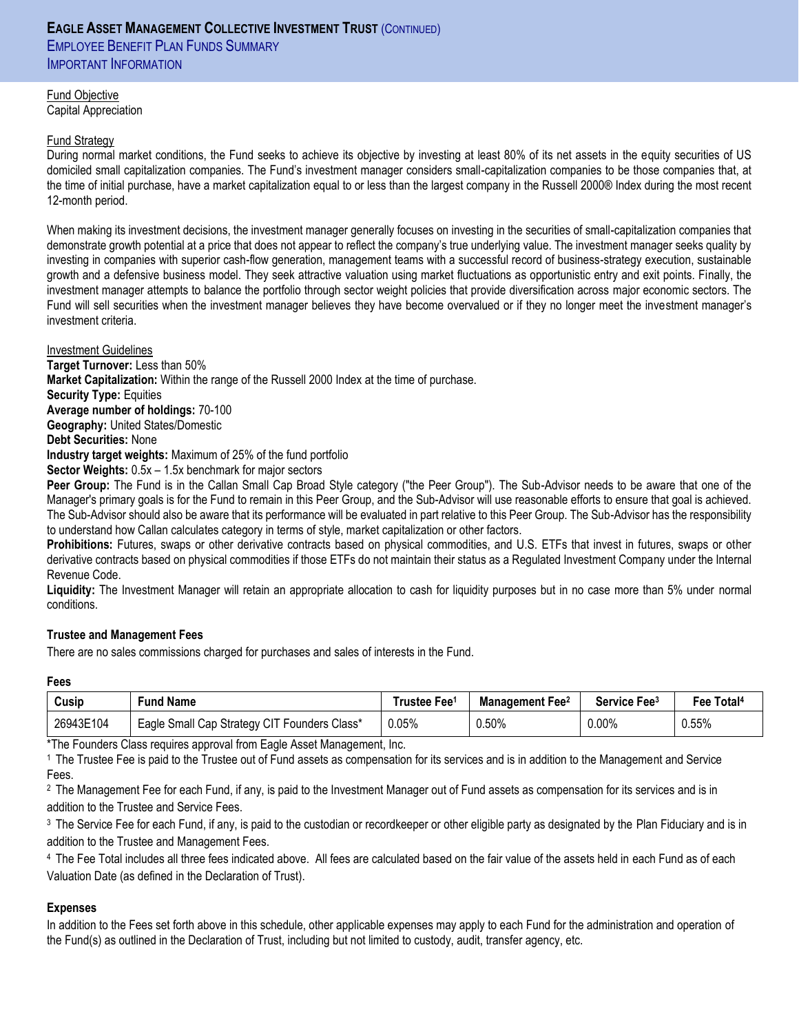# **EAGLE ASSET MANAGEMENT COLLECTIVE INVESTMENT TRUST** (CONTINUED) **EMPLOYEE BENEFIT PLAN FUNDS SUMMARY** IMPORTANT INFORMATION

Fund Objective Capital Appreciation

# Fund Strategy

During normal market conditions, the Fund seeks to achieve its objective by investing at least 80% of its net assets in the equity securities of US domiciled small capitalization companies. The Fund's investment manager considers small-capitalization companies to be those companies that, at the time of initial purchase, have a market capitalization equal to or less than the largest company in the Russell 2000® Index during the most recent 12-month period.

When making its investment decisions, the investment manager generally focuses on investing in the securities of small-capitalization companies that demonstrate growth potential at a price that does not appear to reflect the company's true underlying value. The investment manager seeks quality by investing in companies with superior cash-flow generation, management teams with a successful record of business-strategy execution, sustainable growth and a defensive business model. They seek attractive valuation using market fluctuations as opportunistic entry and exit points. Finally, the investment manager attempts to balance the portfolio through sector weight policies that provide diversification across major economic sectors. The Fund will sell securities when the investment manager believes they have become overvalued or if they no longer meet the investment manager's investment criteria.

#### Investment Guidelines

**Target Turnover:** Less than 50%

**Market Capitalization:** Within the range of the Russell 2000 Index at the time of purchase.

**Security Type:** Equities

**Average number of holdings:** 70-100

**Geography:** United States/Domestic

**Debt Securities:** None

**Industry target weights:** Maximum of 25% of the fund portfolio

**Sector Weights:** 0.5x – 1.5x benchmark for major sectors

**Peer Group:** The Fund is in the Callan Small Cap Broad Style category ("the Peer Group"). The Sub-Advisor needs to be aware that one of the Manager's primary goals is for the Fund to remain in this Peer Group, and the Sub-Advisor will use reasonable efforts to ensure that goal is achieved. The Sub-Advisor should also be aware that its performance will be evaluated in part relative to this Peer Group. The Sub-Advisor has the responsibility to understand how Callan calculates category in terms of style, market capitalization or other factors.

**Prohibitions:** Futures, swaps or other derivative contracts based on physical commodities, and U.S. ETFs that invest in futures, swaps or other derivative contracts based on physical commodities if those ETFs do not maintain their status as a Regulated Investment Company under the Internal Revenue Code.

**Liquidity:** The Investment Manager will retain an appropriate allocation to cash for liquidity purposes but in no case more than 5% under normal conditions.

# **Trustee and Management Fees**

There are no sales commissions charged for purchases and sales of interests in the Fund.

# **Fees**

| Cusip     | Fund Name                                    | ⊺rustee Fee1 | <b>Management Fee</b> <sup>2</sup> | Service Fee <sup>3</sup> | Fee Total <sup>4</sup> |
|-----------|----------------------------------------------|--------------|------------------------------------|--------------------------|------------------------|
| 26943E104 | Eagle Small Cap Strategy CIT Founders Class* | $0.05\%$     | $0.50\%$                           | $0.00\%$                 | 0.55%                  |

\*The Founders Class requires approval from Eagle Asset Management, Inc.

<sup>1</sup>The Trustee Fee is paid to the Trustee out of Fund assets as compensation for its services and is in addition to the Management and Service Fees.

<sup>2</sup> The Management Fee for each Fund, if any, is paid to the Investment Manager out of Fund assets as compensation for its services and is in addition to the Trustee and Service Fees.

<sup>3</sup> The Service Fee for each Fund, if any, is paid to the custodian or recordkeeper or other eligible party as designated by the Plan Fiduciary and is in addition to the Trustee and Management Fees.

<sup>4</sup>The Fee Total includes all three fees indicated above. All fees are calculated based on the fair value of the assets held in each Fund as of each Valuation Date (as defined in the Declaration of Trust).

# **Expenses**

In addition to the Fees set forth above in this schedule, other applicable expenses may apply to each Fund for the administration and operation of the Fund(s) as outlined in the Declaration of Trust, including but not limited to custody, audit, transfer agency, etc.